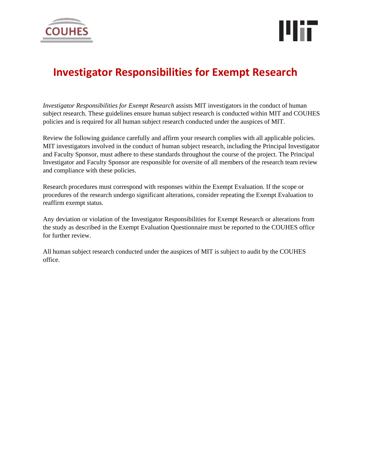



# **Investigator Responsibilities for Exempt Research**

*Investigator Responsibilities for Exempt Research* assists MIT investigators in the conduct of human subject research. These guidelines ensure human subject research is conducted within MIT and COUHES policies and is required for all human subject research conducted under the auspices of MIT.

Review the following guidance carefully and affirm your research complies with all applicable policies. MIT investigators involved in the conduct of human subject research, including the Principal Investigator and Faculty Sponsor, must adhere to these standards throughout the course of the project. The Principal Investigator and Faculty Sponsor are responsible for oversite of all members of the research team review and compliance with these policies.

Research procedures must correspond with responses within the Exempt Evaluation. If the scope or procedures of the research undergo significant alterations, consider repeating the Exempt Evaluation to reaffirm exempt status.

Any deviation or violation of the Investigator Responsibilities for Exempt Research or alterations from the study as described in the Exempt Evaluation Questionnaire must be reported to the COUHES office for further review.

All human subject research conducted under the auspices of MIT is subject to audit by the COUHES office.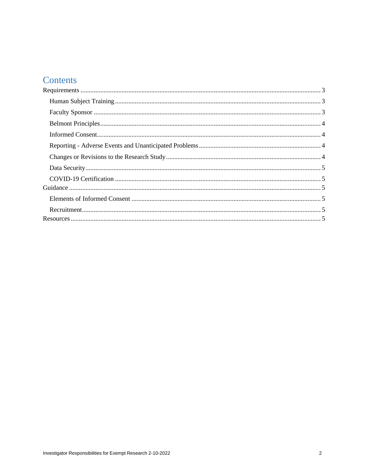# Contents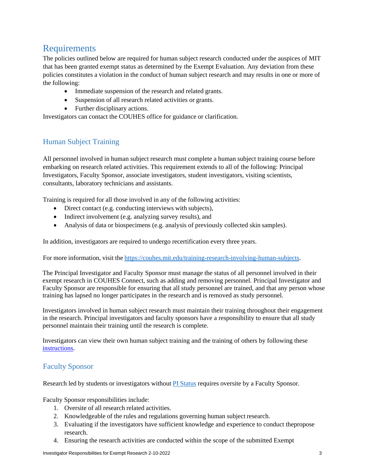# <span id="page-2-0"></span>Requirements

The policies outlined below are required for human subject research conducted under the auspices of MIT that has been granted exempt status as determined by the Exempt Evaluation. Any deviation from these policies constitutes a violation in the conduct of human subject research and may results in one or more of the following:

- Immediate suspension of the research and related grants.
- Suspension of all research related activities or grants.
- Further disciplinary actions.

Investigators can contact the COUHES office for guidance or clarification.

### <span id="page-2-1"></span>Human Subject Training

All personnel involved in human subject research must complete a human subject training course before embarking on research related activities. This requirement extends to all of the following: Principal Investigators, Faculty Sponsor, associate investigators, student investigators, visiting scientists, consultants, laboratory technicians and assistants.

Training is required for all those involved in any of the following activities:

- Direct contact (e.g. conducting interviews with subjects),
- Indirect involvement (e.g. analyzing survey results), and
- Analysis of data or biospecimens (e.g. analysis of previously collected skin samples).

In addition, investigators are required to undergo recertification every three years.

For more information, visit the [https://couhes.mit.edu/training-research-involving-human-subjects.](https://couhes.mit.edu/training-research-involving-human-subjects)

The Principal Investigator and Faculty Sponsor must manage the status of all personnel involved in their exempt research in COUHES Connect, such as adding and removing personnel. Principal Investigator and Faculty Sponsor are responsible for ensuring that all study personnel are trained, and that any person whose training has lapsed no longer participates in the research and is removed as study personnel.

Investigators involved in human subject research must maintain their training throughout their engagement in the research. Principal investigators and faculty sponsors have a responsibility to ensure that all study personnel maintain their training until the research is complete.

Investigators can view their own human subject training and the training of others by following these [instructions.](https://couhes.mit.edu/sites/default/files/documents/COUHES-Human-Subject-Training-Guidance-2021-09-09.pdf)

#### <span id="page-2-2"></span>Faculty Sponsor

Research led by students or investigators without **PI** [Status](https://couhes.mit.edu/definitions#Principal%20investigator) requires oversite by a Faculty Sponsor.

Faculty Sponsor responsibilities include:

- 1. Oversite of all research related activities.
- 2. Knowledgeable of the rules and regulations governing human subject research.
- 3. Evaluating if the investigators have sufficient knowledge and experience to conduct thepropose research.
- 4. Ensuring the research activities are conducted within the scope of the submitted Exempt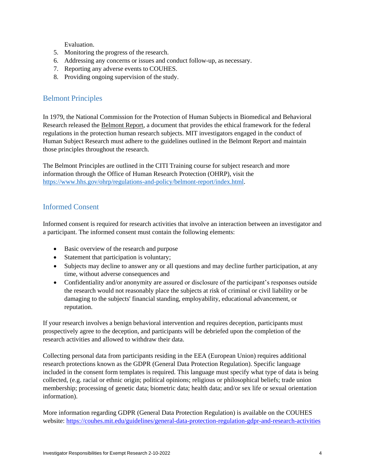Evaluation.

- 5. Monitoring the progress of the research.
- 6. Addressing any concerns or issues and conduct follow-up, as necessary.
- 7. Reporting any adverse events to COUHES.
- 8. Providing ongoing supervision of the study.

#### <span id="page-3-0"></span>Belmont Principles

In 1979, the National Commission for the Protection of Human Subjects in Biomedical and Behavioral Research released the Belmont Report, a document that provides the ethical framework for the federal regulations in the protection human research subjects. MIT investigators engaged in the conduct of Human Subject Research must adhere to the guidelines outlined in the Belmont Report and maintain those principles throughout the research.

The Belmont Principles are outlined in the CITI Training course for subject research and more information through the Office of Human Research Protection (OHRP), visit the [https://www.hhs.gov/ohrp/regulations-and-policy/belmont-report/index.html.](https://www.hhs.gov/ohrp/regulations-and-policy/belmont-report/index.html)

#### <span id="page-3-1"></span>Informed Consent

Informed consent is required for research activities that involve an interaction between an investigator and a participant. The informed consent must contain the following elements:

- Basic overview of the research and purpose
- Statement that participation is voluntary;
- Subjects may decline to answer any or all questions and may decline further participation, at any time, without adverse consequences and
- Confidentiality and/or anonymity are assured or disclosure of the participant's responses outside the research would not reasonably place the subjects at risk of criminal or civil liability or be damaging to the subjects' financial standing, employability, educational advancement, or reputation.

If your research involves a benign behavioral intervention and requires deception, participants must prospectively agree to the deception, and participants will be debriefed upon the completion of the research activities and allowed to withdraw their data.

Collecting personal data from participants residing in the EEA (European Union) requires additional research protections known as the GDPR (General Data Protection Regulation). Specific language included in the consent form templates is required. This language must specify what type of data is being collected, (e.g. racial or ethnic origin; political opinions; religious or philosophical beliefs; trade union membership; processing of genetic data; biometric data; health data; and/or sex life or sexual orientation information).

More information regarding GDPR (General Data Protection Regulation) is available on the COUHES website:<https://couhes.mit.edu/guidelines/general-data-protection-regulation-gdpr-and-research-activities>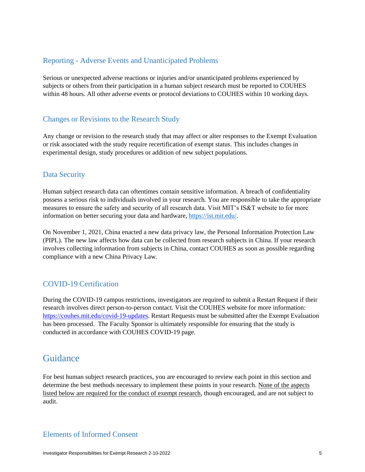#### <span id="page-4-0"></span>Reporting - Adverse Events and Unanticipated Problems

Serious or unexpected adverse reactions or injuries and/or unanticipated problems experienced by subjects or others from their participation in a human subject research must be reported to COUHES within 48 hours. All other adverse events or protocol deviations to COUHES within 10 working days.

#### <span id="page-4-1"></span>Changes or Revisions to the Research Study

Any change or revision to the research study that may affect or alter responses to the Exempt Evaluation or risk associated with the study require recertification of exempt status. This includes changes in experimental design, study procedures or addition of new subject populations.

#### <span id="page-4-2"></span>Data Security

Human subject research data can oftentimes contain sensitive information. A breach of confidentiality possess a serious risk to individuals involved in your research. You are responsible to take the appropriate measures to ensure the safety and security of all research data. Visit MIT's IS&T website to for more information on better securing your data and hardware, [https://ist.mit.edu/.](https://ist.mit.edu/)

On November 1, 2021, China enacted a new data privacy law, the Personal Information Protection Law (PIPL). The new law affects how data can be collected from research subjects in China. If your research involves collecting information from subjects in China, contact COUHES as soon as possible regarding compliance with a new China Privacy Law.

#### <span id="page-4-3"></span>COVID-19 Certification

During the COVID-19 campus restrictions, investigators are required to submit a Restart Request if their research involves direct person-to-person contact. Visit the COUHES website for more information: [https://couhes.mit.edu/covid-19-updates.](https://couhes.mit.edu/covid-19-updates) Restart Requests must be submitted after the Exempt Evaluation has been processed. The Faculty Sponsor is ultimately responsible for ensuring that the study is conducted in accordance with COUHES COVID-19 page.

## <span id="page-4-4"></span>**Guidance**

For best human subject research practices, you are encouraged to review each point in this section and determine the best methods necessary to implement these points in your research. None of the aspects listed below are required for the conduct of exempt research, though encouraged, and are not subject to audit.

#### <span id="page-4-5"></span>Elements of Informed Consent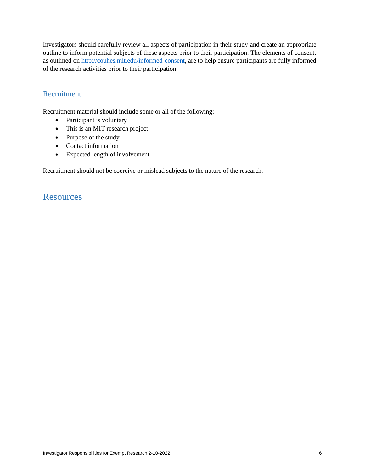Investigators should carefully review all aspects of participation in their study and create an appropriate outline to inform potential subjects of these aspects prior to their participation. The elements of consent, as outlined on [http://couhes.mit.edu/informed-consent, a](http://couhes.mit.edu/informed-consent)re to help ensure participants are fully informed of the research activities prior to their participation.

#### <span id="page-5-0"></span>Recruitment

Recruitment material should include some or all of the following:

- Participant is voluntary
- This is an MIT research project
- Purpose of the study
- Contact information
- Expected length of involvement

Recruitment should not be coercive or mislead subjects to the nature of the research.

### <span id="page-5-1"></span>**Resources**